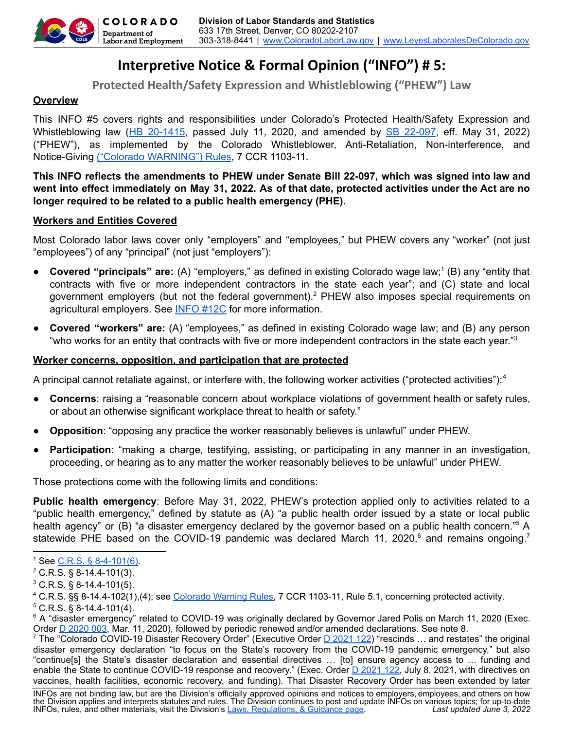

# **Interpretive Notice & Formal Opinion ("INFO") # 5:**

**Protected Health/Safety Expression and Whistleblowing ("PHEW") Law**

## **Overview**

This INFO #5 covers rights and responsibilities under Colorado's Protected Health/Safety Expression and Whistleblowing law (HB [20-1415,](https://leg.colorado.gov/sites/default/files/2020a_1415_signed.pdf) passed July 11, 2020, and amended by SB [22-097](https://leg.colorado.gov/sites/default/files/documents/2022A/bills/2022a_097_enr.pdf), eff. May 31, 2022) ("PHEW"), as implemented by the Colorado Whistleblower, Anti-Retaliation, Non-interference, and Notice-Giving ("Colorado [WARNING"\)](https://cdle.colorado.gov/laborrules) Rules, 7 CCR 1103-11.

## **This INFO reflects the amendments to PHEW under Senate Bill 22-097, which was signed into law and** went into effect immediately on May 31, 2022. As of that date, protected activities under the Act are no **longer required to be related to a public health emergency (PHE).**

#### **Workers and Entities Covered**

Most Colorado labor laws cover only "employers" and "employees," but PHEW covers any "worker" (not just "employees") of any "principal" (not just "employers"):

- Covered "principals" are: (A) "employers," as defined in existing Colorado wage law;<sup>1</sup> (B) any "entity that contracts with five or more independent contractors in the state each year"; and (C) state and local government employers (but not the federal government).<sup>2</sup> PHEW also imposes special requirements on agricultural employers. See [INFO](https://cdle.colorado.gov/infos) #12C for more information.
- **Covered "workers" are:** (A) "employees," as defined in existing Colorado wage law; and (B) any person "who works for an entity that contracts with five or more independent contractors in the state each year."<sup>3</sup>

## **Worker concerns, opposition, and participation that are protected**

A principal cannot retaliate against, or interfere with, the following worker activities ("protected activities"):<sup>4</sup>

- **Concerns**: raising a "reasonable concern about workplace violations of government health or safety rules, or about an otherwise significant workplace threat to health or safety."
- **Opposition**: "opposing any practice the worker reasonably believes is unlawful" under PHEW.
- **Participation:** "making a charge, testifying, assisting, or participating in any manner in an investigation, proceeding, or hearing as to any matter the worker reasonably believes to be unlawful" under PHEW.

Those protections come with the following limits and conditions:

**Public health emergency**: Before May 31, 2022, PHEW's protection applied only to activities related to a "public health emergency," defined by statute as (A) "a public health order issued by a state or local public health agency" or (B) "a disaster emergency declared by the governor based on a public health concern."<sup>5</sup> A statewide PHE based on the COVID-19 pandemic was declared March 11, 2020,<sup>6</sup> and remains ongoing.<sup>7</sup>

<sup>&</sup>lt;sup>1</sup> See <u>C.R.S. § 8-4-101(6)</u>.

 $2^2$  C.R.S. § 8-14.4-101(3).

 $3$  C.R.S. § 8-14.4-101(5).

 $5$  C.R.S. § 8-14.4-101(4). <sup>4</sup> C.R.S. §§ 8-14.4-102(1),(4); see [Colorado](https://cdle.colorado.gov/laborrules) Warning Rules, 7 CCR 1103-11, Rule 5.1, concerning protected activity.

<sup>&</sup>lt;sup>6</sup> A "disaster emergency" related to COVID-19 was originally declared by Governor Jared Polis on March 11, 2020 (Exec. Order **D** [2020](https://drive.google.com/file/d/1A7Vufyw4vyTvHdeMU_t_sMxwlCDXA_Js/view) 003, Mar. 11, 2020), followed by periodic renewed and/or amended declarations. See note 8.

<sup>&</sup>lt;sup>7</sup> The "Colorado COVID-19 Disaster Recovery Order" (Executive Order D [2021](https://drive.google.com/file/d/1BAiqjpGjDIwWjChksqcjuhjzuWrJ7qmi/view) 122) "rescinds ... and restates" the original disaster emergency declaration "to focus on the State's recovery from the COVID-19 pandemic emergency," but also "continue[s] the State's disaster declaration and essential directives … [to] ensure agency access to … funding and enable the State to continue COVID-19 response and recovery." (Exec. Order D [2021](https://drive.google.com/file/d/1BAiqjpGjDIwWjChksqcjuhjzuWrJ7qmi/view) 122, July 8, 2021, with directives on vaccines, health facilities, economic recovery, and funding). That Disaster Recovery Order has been extended by later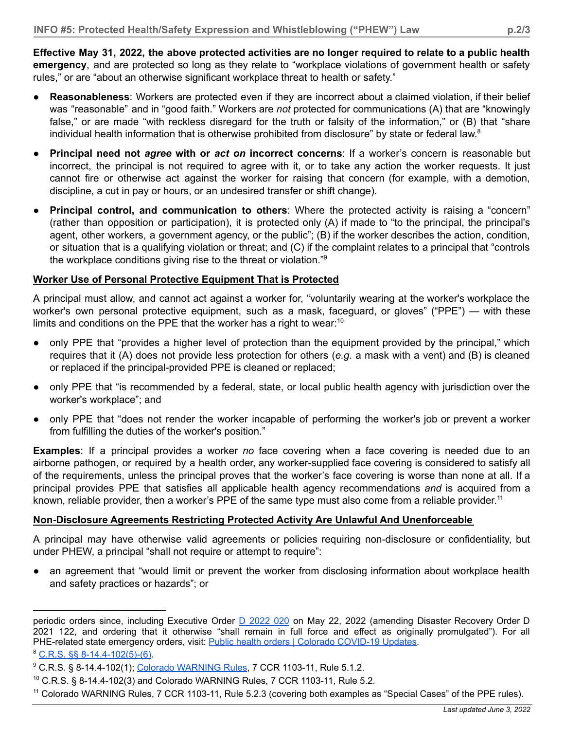Effective May 31, 2022, the above protected activities are no longer required to relate to a public health **emergency**, and are protected so long as they relate to "workplace violations of government health or safety rules," or are "about an otherwise significant workplace threat to health or safety."

- **Reasonableness**: Workers are protected even if they are incorrect about a claimed violation, if their belief was "reasonable" and in "good faith." Workers are *not* protected for communications (A) that are "knowingly false," or are made "with reckless disregard for the truth or falsity of the information," or (B) that "share individual health information that is otherwise prohibited from disclosure" by state or federal law.<sup>8</sup>
- **Principal need not** *agree* **with or** *act on* **incorrect concerns**: If a worker's concern is reasonable but incorrect, the principal is not required to agree with it, or to take any action the worker requests. It just cannot fire or otherwise act against the worker for raising that concern (for example, with a demotion, discipline, a cut in pay or hours, or an undesired transfer or shift change).
- **Principal control, and communication to others**: Where the protected activity is raising a "concern" (rather than opposition or participation), it is protected only (A) if made to "to the principal, the principal's agent, other workers, a government agency, or the public"; (B) if the worker describes the action, condition, or situation that is a qualifying violation or threat; and (C) if the complaint relates to a principal that "controls the workplace conditions giving rise to the threat or violation."<sup>9</sup>

## **Worker Use of Personal Protective Equipment That is Protected**

A principal must allow, and cannot act against a worker for, "voluntarily wearing at the worker's workplace the worker's own personal protective equipment, such as a mask, faceguard, or gloves" ("PPE") — with these limits and conditions on the PPE that the worker has a right to wear:<sup>10</sup>

- only PPE that "provides a higher level of protection than the equipment provided by the principal," which requires that it (A) does not provide less protection for others (*e.g.* a mask with a vent) and (B) is cleaned or replaced if the principal-provided PPE is cleaned or replaced;
- only PPE that "is recommended by a federal, state, or local public health agency with jurisdiction over the worker's workplace"; and
- only PPE that "does not render the worker incapable of performing the worker's job or prevent a worker from fulfilling the duties of the worker's position."

**Examples**: If a principal provides a worker *no* face covering when a face covering is needed due to an airborne pathogen, or required by a health order, any worker-supplied face covering is considered to satisfy all of the requirements, unless the principal proves that the worker's face covering is worse than none at all. If a principal provides PPE that satisfies all applicable health agency recommendations *and* is acquired from a known, reliable provider, then a worker's PPE of the same type must also come from a reliable provider.<sup>11</sup>

# **Non-Disclosure Agreements Restricting Protected Activity Are Unlawful And Unenforceable**

A principal may have otherwise valid agreements or policies requiring non-disclosure or confidentiality, but under PHEW, a principal "shall not require or attempt to require":

• an agreement that "would limit or prevent the worker from disclosing information about workplace health and safety practices or hazards"; or

periodic orders since, including Executive Order D [2022](https://covid19.colorado.gov/public-health-orders) 020 on May 22, 2022 (amending Disaster Recovery Order D 2021 122, and ordering that it otherwise "shall remain in full force and effect as originally promulgated"). For all PHE-related state emergency orders, visit: Public health orders | Colorado [COVID-19](https://covid19.colorado.gov/public-health-orders) Updates.

 $8$  C.R.S. §§ [8-14.4-102\(5\)-\(6\)](https://cdle.colorado.gov/laws-regulations-guidance).

<sup>&</sup>lt;sup>9</sup> C.R.S. § 8-14.4-102(1); Colorado [WARNING](https://cdle.colorado.gov/laws-regulations-guidance) Rules, 7 CCR 1103-11, Rule 5.1.2.

 $10$  C.R.S. § 8-14.4-102(3) and Colorado WARNING Rules, 7 CCR 1103-11, Rule 5.2.

<sup>11</sup> Colorado WARNING Rules, 7 CCR 1103-11, Rule 5.2.3 (covering both examples as "Special Cases" of the PPE rules).